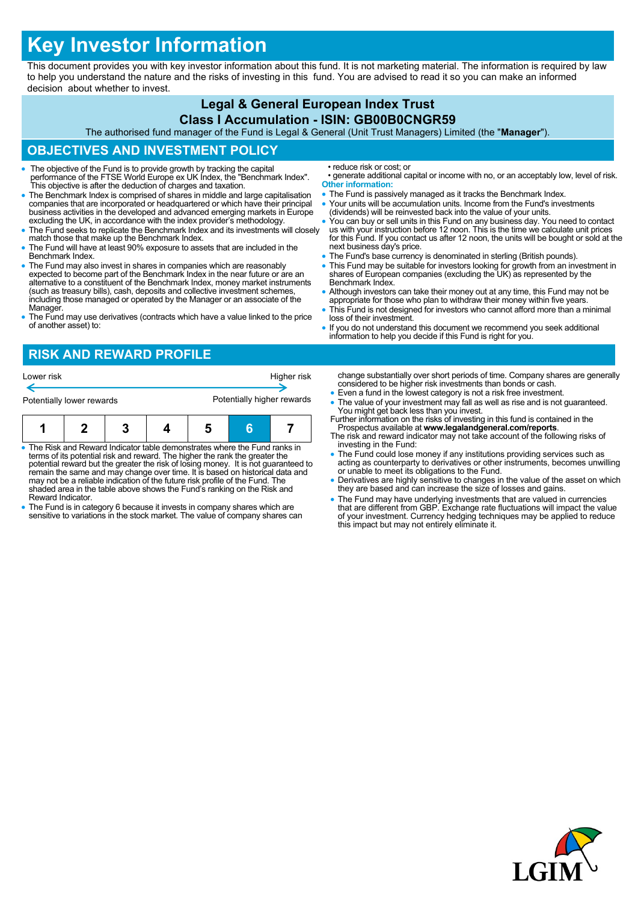# **Key Investor Information**

This document provides you with key investor information about this fund. It is not marketing material. The information is required by law to help you understand the nature and the risks of investing in this fund. You are advised to read it so you can make an informed decision about whether to invest.

#### **Legal & General European Index Trust Class I Accumulation - ISIN: GB00B0CNGR59** The authorised fund manager of the Fund is Legal & General (Unit Trust Managers) Limited (the "**Manager**"). **OBJECTIVES AND INVESTMENT POLICY** The objective of the Fund is to provide growth by tracking the capital performance of the FTSE World Europe ex UK Index, the "Benchmark Index". This objective is after the deduction of charges and taxation. The Benchmark Index is comprised of shares in middle and large capitalisation companies that are incorporated or headquartered or which have their principal business activities in the developed and advanced emerging markets in Europe excluding the UK, in accordance with the index provider's methodology. • The Fund seeks to replicate the Benchmark Index and its investments will closely match those that make up the Benchmark Index. The Fund will have at least 90% exposure to assets that are included in the Benchmark Index. The Fund may also invest in shares in companies which are reasonably expected to become part of the Benchmark Index in the near future or are an alternative to a constituent of the Benchmark Index, money market instruments (such as treasury bills), cash, deposits and collective investment schemes, including those managed or operated by the Manager or an associate of the Manager. The Fund may use derivatives (contracts which have a value linked to the price of another asset) to: • reduce risk or cost; or • generate additional capital or income with no, or an acceptably low, level of risk. **Other information:** • The Fund is passively managed as it tracks the Benchmark Index. Your units will be accumulation units. Income from the Fund's investments (dividends) will be reinvested back into the value of your units. You can buy or sell units in this Fund on any business day. You need to contact us with your instruction before 12 noon. This is the time we calculate unit prices for this Fund. If you contact us after 12 noon, the units will be bought or sold at the next business day's price. • The Fund's base currency is denominated in sterling (British pounds). This Fund may be suitable for investors looking for growth from an investment in shares of European companies (excluding the UK) as represented by the Benchmark Index. • Although investors can take their money out at any time, this Fund may not be appropriate for those who plan to withdraw their money within five years. This Fund is not designed for investors who cannot afford more than a minimal loss of their investment. If you do not understand this document we recommend you seek additional information to help you decide if this Fund is right for you. **RISK AND REWARD PROFILE** change substantially over short periods of time. Company shares are generally considered to be higher risk investments than bonds or cash. Even a fund in the lowest category is not a risk free investment. • The value of your investment may fall as well as rise and is not guaranteed. You might get back less than you invest. Further information on the risks of investing in this fund is contained in the Lower risk **Higher risk** Potentially lower rewards **Potentially higher rewards**

- The Risk and Reward Indicator table demonstrates where the Fund ranks in terms of its potential risk and reward. The higher the rank the greater the potential reward but the greater the risk of losing money. It is not guaranteed to remain the same and may change over time. It is based on historical data and may not be a reliable indication of the future risk profile of the Fund. The **1 2 3 4 5 6 7**
- shaded area in the table above shows the Fund's ranking on the Risk and Reward Indicator. The Fund is in category 6 because it invests in company shares which are
- sensitive to variations in the stock market. The value of company shares can
- Prospectus available at **www.legalandgeneral.com/reports**. The risk and reward indicator may not take account of the following risks of
- investing in the Fund:
- The Fund could lose money if any institutions providing services such as acting as counterparty to derivatives or other instruments, becomes unwilling or unable to meet its obligations to the Fund.
- Derivatives are highly sensitive to changes in the value of the asset on which they are based and can increase the size of losses and gains.
- The Fund may have underlying investments that are valued in currencies that are different from GBP. Exchange rate fluctuations will impact the value of your investment. Currency hedging techniques may be applied to reduce this impact but may not entirely eliminate it.